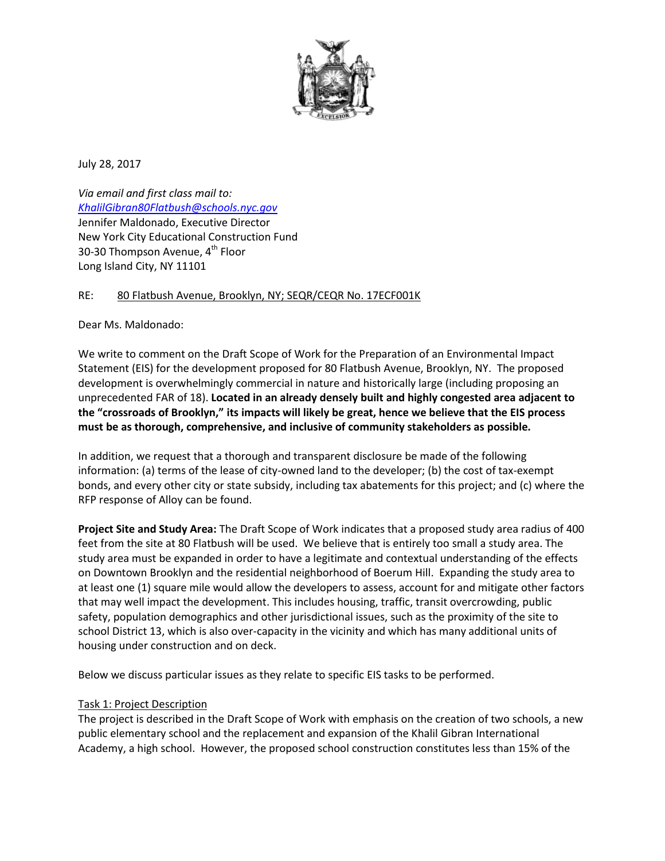

July 28, 2017

*Via email and first class mail to: [KhalilGibran80Flatbush@schools.nyc.gov](mailto:KhalilGibran80Flatbush@schools.nyc.gov)* Jennifer Maldonado, Executive Director New York City Educational Construction Fund 30-30 Thompson Avenue, 4<sup>th</sup> Floor Long Island City, NY 11101

## RE: 80 Flatbush Avenue, Brooklyn, NY; SEQR/CEQR No. 17ECF001K

Dear Ms. Maldonado:

We write to comment on the Draft Scope of Work for the Preparation of an Environmental Impact Statement (EIS) for the development proposed for 80 Flatbush Avenue, Brooklyn, NY. The proposed development is overwhelmingly commercial in nature and historically large (including proposing an unprecedented FAR of 18). **Located in an already densely built and highly congested area adjacent to the "crossroads of Brooklyn," its impacts will likely be great, hence we believe that the EIS process must be as thorough, comprehensive, and inclusive of community stakeholders as possible.**

In addition, we request that a thorough and transparent disclosure be made of the following information: (a) terms of the lease of city-owned land to the developer; (b) the cost of tax-exempt bonds, and every other city or state subsidy, including tax abatements for this project; and (c) where the RFP response of Alloy can be found.

**Project Site and Study Area:** The Draft Scope of Work indicates that a proposed study area radius of 400 feet from the site at 80 Flatbush will be used. We believe that is entirely too small a study area. The study area must be expanded in order to have a legitimate and contextual understanding of the effects on Downtown Brooklyn and the residential neighborhood of Boerum Hill. Expanding the study area to at least one (1) square mile would allow the developers to assess, account for and mitigate other factors that may well impact the development. This includes housing, traffic, transit overcrowding, public safety, population demographics and other jurisdictional issues, such as the proximity of the site to school District 13, which is also over-capacity in the vicinity and which has many additional units of housing under construction and on deck.

Below we discuss particular issues as they relate to specific EIS tasks to be performed.

### Task 1: Project Description

The project is described in the Draft Scope of Work with emphasis on the creation of two schools, a new public elementary school and the replacement and expansion of the Khalil Gibran International Academy, a high school. However, the proposed school construction constitutes less than 15% of the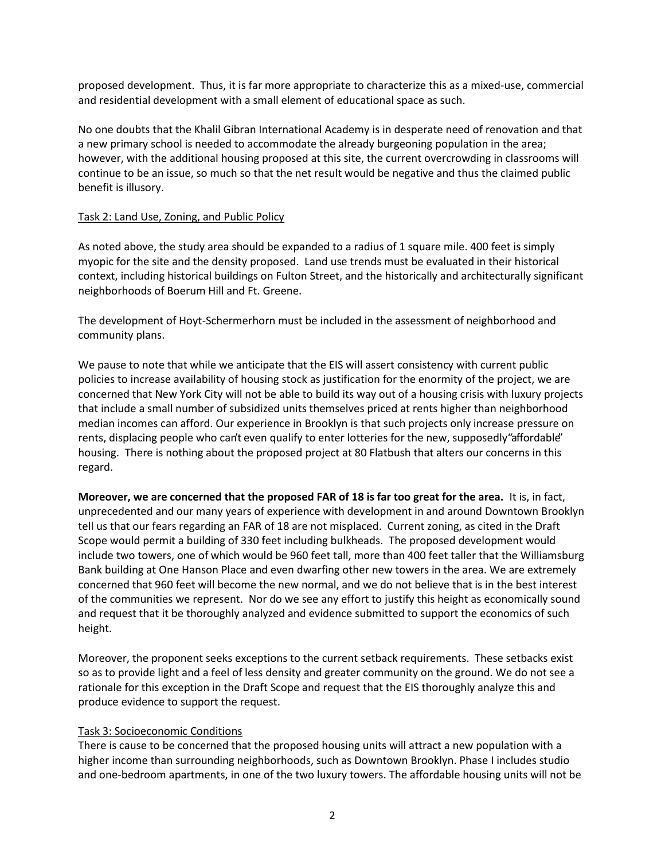proposed development. Thus, it is far more appropriate to characterize this as a mixed-use, commercial and residential development with a small element of educational space as such.

No one doubts that the Khalil Gibran International Academy is in desperate need of renovation and that a new primary school is needed to accommodate the already burgeoning population in the area; however, with the additional housing proposed at this site, the current overcrowding in classrooms will continue to be an issue, so much so that the net result would be negative and thus the claimed public benefit is illusory.

### Task 2: Land Use, Zoning, and Public Policy

As noted above, the study area should be expanded to a radius of 1 square mile. 400 feet is simply myopic for the site and the density proposed. Land use trends must be evaluated in their historical context, including historical buildings on Fulton Street, and the historically and architecturally significant neighborhoods of Boerum Hill and Ft. Greene.

The development of Hoyt-Schermerhorn must be included in the assessment of neighborhood and community plans.

We pause to note that while we anticipate that the EIS will assert consistency with current public policies to increase availability of housing stock as justification for the enormity of the project, we are concerned that New York City will not be able to build its way out of a housing crisis with luxury projects that include a small number of subsidized units themselves priced at rents higher than neighborhood median incomes can afford. Our experience in Brooklyn is that such projects only increase pressure on rents, displacing people who can't even qualify to enter lotteries for the new, supposedly "affordable" housing. There is nothing about the proposed project at 80 Flatbush that alters our concerns in this regard.

**Moreover, we are concerned that the proposed FAR of 18 is far too great for the area.** It is, in fact, unprecedented and our many years of experience with development in and around Downtown Brooklyn tell us that our fears regarding an FAR of 18 are not misplaced. Current zoning, as cited in the Draft Scope would permit a building of 330 feet including bulkheads. The proposed development would include two towers, one of which would be 960 feet tall, more than 400 feet taller that the Williamsburg Bank building at One Hanson Place and even dwarfing other new towers in the area. We are extremely concerned that 960 feet will become the new normal, and we do not believe that is in the best interest of the communities we represent. Nor do we see any effort to justify this height as economically sound and request that it be thoroughly analyzed and evidence submitted to support the economics of such height.

Moreover, the proponent seeks exceptions to the current setback requirements. These setbacks exist so as to provide light and a feel of less density and greater community on the ground. We do not see a rationale for this exception in the Draft Scope and request that the EIS thoroughly analyze this and produce evidence to support the request.

### Task 3: Socioeconomic Conditions

There is cause to be concerned that the proposed housing units will attract a new population with a higher income than surrounding neighborhoods, such as Downtown Brooklyn. Phase I includes studio and one-bedroom apartments, in one of the two luxury towers. The affordable housing units will not be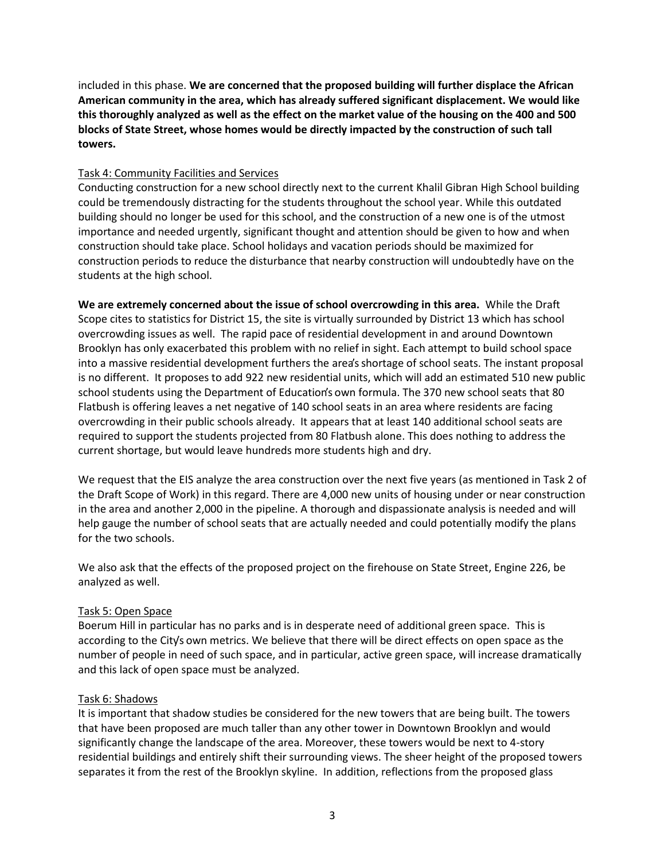included in this phase. **We are concerned that the proposed building will further displace the African American community in the area, which has already suffered significant displacement. We would like this thoroughly analyzed as well as the effect on the market value of the housing on the 400 and 500 blocks of State Street, whose homes would be directly impacted by the construction of such tall towers.**

## Task 4: Community Facilities and Services

Conducting construction for a new school directly next to the current Khalil Gibran High School building could be tremendously distracting for the students throughout the school year. While this outdated building should no longer be used for this school, and the construction of a new one is of the utmost importance and needed urgently, significant thought and attention should be given to how and when construction should take place. School holidays and vacation periods should be maximized for construction periods to reduce the disturbance that nearby construction will undoubtedly have on the students at the high school.

**We are extremely concerned about the issue of school overcrowding in this area.** While the Draft Scope cites to statistics for District 15, the site is virtually surrounded by District 13 which has school overcrowding issues as well. The rapid pace of residential development in and around Downtown Brooklyn has only exacerbated this problem with no relief in sight. Each attempt to build school space into a massive residential development furthers the area's shortage of school seats. The instant proposal is no different. It proposes to add 922 new residential units, which will add an estimated 510 new public school students using the Department of Education's own formula. The 370 new school seats that 80 Flatbush is offering leaves a net negative of 140 school seats in an area where residents are facing overcrowding in their public schools already. It appears that at least 140 additional school seats are required to support the students projected from 80 Flatbush alone. This does nothing to address the current shortage, but would leave hundreds more students high and dry.

We request that the EIS analyze the area construction over the next five years (as mentioned in Task 2 of the Draft Scope of Work) in this regard. There are 4,000 new units of housing under or near construction in the area and another 2,000 in the pipeline. A thorough and dispassionate analysis is needed and will help gauge the number of school seats that are actually needed and could potentially modify the plans for the two schools.

We also ask that the effects of the proposed project on the firehouse on State Street, Engine 226, be analyzed as well.

### Task 5: Open Space

Boerum Hill in particular has no parks and is in desperate need of additional green space. This is according to the City's own metrics. We believe that there will be direct effects on open space as the number of people in need of such space, and in particular, active green space, will increase dramatically and this lack of open space must be analyzed.

# Task 6: Shadows

It is important that shadow studies be considered for the new towers that are being built. The towers that have been proposed are much taller than any other tower in Downtown Brooklyn and would significantly change the landscape of the area. Moreover, these towers would be next to 4-story residential buildings and entirely shift their surrounding views. The sheer height of the proposed towers separates it from the rest of the Brooklyn skyline. In addition, reflections from the proposed glass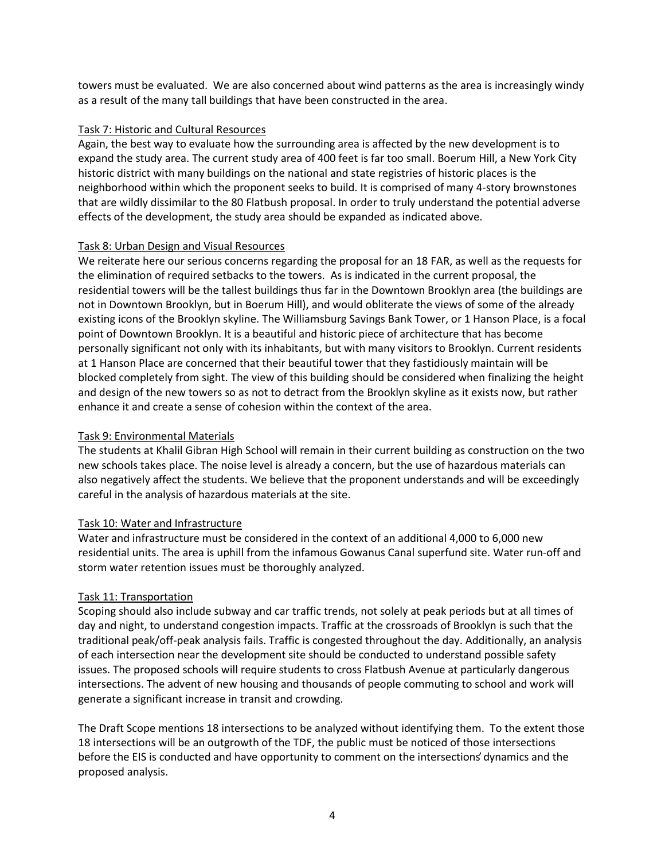towers must be evaluated. We are also concerned about wind patterns as the area is increasingly windy as a result of the many tall buildings that have been constructed in the area.

## Task 7: Historic and Cultural Resources

Again, the best way to evaluate how the surrounding area is affected by the new development is to expand the study area. The current study area of 400 feet is far too small. Boerum Hill, a New York City historic district with many buildings on the national and state registries of historic places is the neighborhood within which the proponent seeks to build. It is comprised of many 4-story brownstones that are wildly dissimilar to the 80 Flatbush proposal. In order to truly understand the potential adverse effects of the development, the study area should be expanded as indicated above.

## Task 8: Urban Design and Visual Resources

We reiterate here our serious concerns regarding the proposal for an 18 FAR, as well as the requests for the elimination of required setbacks to the towers. As is indicated in the current proposal, the residential towers will be the tallest buildings thus far in the Downtown Brooklyn area (the buildings are not in Downtown Brooklyn, but in Boerum Hill), and would obliterate the views of some of the already existing icons of the Brooklyn skyline. The Williamsburg Savings Bank Tower, or 1 Hanson Place, is a focal point of Downtown Brooklyn. It is a beautiful and historic piece of architecture that has become personally significant not only with its inhabitants, but with many visitors to Brooklyn. Current residents at 1 Hanson Place are concerned that their beautiful tower that they fastidiously maintain will be blocked completely from sight. The view of this building should be considered when finalizing the height and design of the new towers so as not to detract from the Brooklyn skyline as it exists now, but rather enhance it and create a sense of cohesion within the context of the area.

# Task 9: Environmental Materials

The students at Khalil Gibran High School will remain in their current building as construction on the two new schools takes place. The noise level is already a concern, but the use of hazardous materials can also negatively affect the students. We believe that the proponent understands and will be exceedingly careful in the analysis of hazardous materials at the site.

# Task 10: Water and Infrastructure

Water and infrastructure must be considered in the context of an additional 4,000 to 6,000 new residential units. The area is uphill from the infamous Gowanus Canal superfund site. Water run-off and storm water retention issues must be thoroughly analyzed.

# Task 11: Transportation

Scoping should also include subway and car traffic trends, not solely at peak periods but at all times of day and night, to understand congestion impacts. Traffic at the crossroads of Brooklyn is such that the traditional peak/off-peak analysis fails. Traffic is congested throughout the day. Additionally, an analysis of each intersection near the development site should be conducted to understand possible safety issues. The proposed schools will require students to cross Flatbush Avenue at particularly dangerous intersections. The advent of new housing and thousands of people commuting to school and work will generate a significant increase in transit and crowding.

The Draft Scope mentions 18 intersections to be analyzed without identifying them. To the extent those 18 intersections will be an outgrowth of the TDF, the public must be noticed of those intersections before the EIS is conducted and have opportunity to comment on the intersections' dynamics and the proposed analysis.